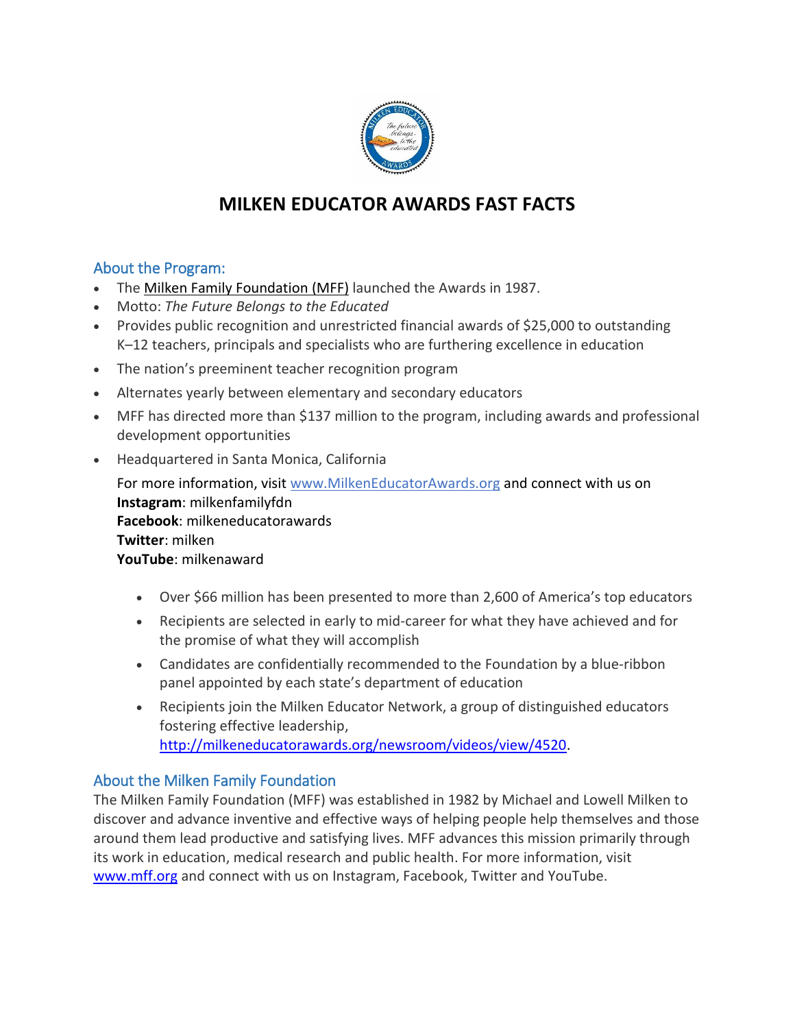

# **MILKEN EDUCATOR AWARDS FAST FACTS**

### About the Program:

- The Milken Family [Foundation](http://www.mff.org/) (MFF) launched the Awards in 1987.
- Motto: *The Future Belongs to the Educated*
- Provides public recognition and unrestricted financial awards of \$25,000 to outstanding K–12 teachers, principals and specialists who are furthering excellence in education
- The nation's preeminent teacher recognition program
- Alternates yearly between elementary and secondary educators
- MFF has directed more than \$137 million to the program, including awards and professional development opportunities
- Headquartered in Santa Monica, California

For more information, visit [www.MilkenEducatorAwards.org](http://www.milkeneducatorawards.org/) and connect with us on **Instagram**: milkenfamilyfdn **Facebook**: milkeneducatorawards **Twitter**: milken **YouTube**: milkenaward

- Over \$66 million has been presented to more than 2,600 of America's top educators
- Recipients are selected in early to mid-career for what they have achieved and for the promise of what they will accomplish
- Candidates are confidentially recommended to the Foundation by a blue-ribbon panel appointed by each state's department of education
- Recipients join the Milken Educator Network, a group of distinguished educators fostering effective leadership, [http://milkeneducatorawards.org/newsroom/videos/view/4520.](http://milkeneducatorawards.org/newsroom/videos/view/4520)

# About the Milken Family Foundation

The Milken Family Foundation (MFF) was established in 1982 by Michael and Lowell Milken to discover and advance inventive and effective ways of helping people help themselves and those around them lead productive and satisfying lives. MFF advances this mission primarily through its work in education, medical research and public health. For more information, visit [www.mff.org](http://www.mff.org/) and connect with us on Instagram, Facebook, Twitter and YouTube.